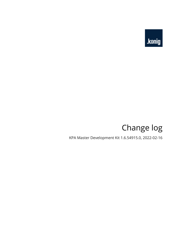

# Change log

KPA Master Development Kit 1.6.54915.0, 2022-02-16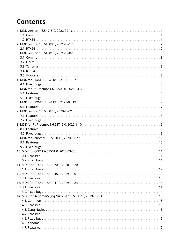# **Contents**

| 6.1. Features.    |  |
|-------------------|--|
|                   |  |
|                   |  |
|                   |  |
|                   |  |
|                   |  |
|                   |  |
|                   |  |
|                   |  |
|                   |  |
|                   |  |
|                   |  |
| 10.2. Fixed bugs. |  |
|                   |  |
| 11.1. Fixed bugs. |  |
|                   |  |
|                   |  |
|                   |  |
|                   |  |
|                   |  |
|                   |  |
|                   |  |
|                   |  |
|                   |  |
|                   |  |
|                   |  |
|                   |  |
|                   |  |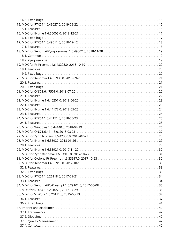| 16.1. Fixed bugs. |  |
|-------------------|--|
|                   |  |
| 17.1. Features.   |  |
|                   |  |
|                   |  |
|                   |  |
|                   |  |
|                   |  |
|                   |  |
|                   |  |
|                   |  |
|                   |  |
|                   |  |
|                   |  |
|                   |  |
|                   |  |
|                   |  |
|                   |  |
|                   |  |
| 24.1. Features.   |  |
|                   |  |
|                   |  |
|                   |  |
|                   |  |
|                   |  |
|                   |  |
|                   |  |
|                   |  |
|                   |  |
|                   |  |
|                   |  |
|                   |  |
|                   |  |
|                   |  |
|                   |  |
|                   |  |
|                   |  |
|                   |  |
|                   |  |
|                   |  |
|                   |  |
|                   |  |
|                   |  |
|                   |  |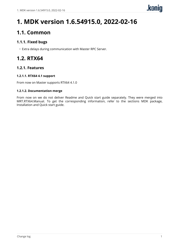# <span id="page-4-0"></span>**1. MDK version 1.6.54915.0, 2022-02-16**

## <span id="page-4-1"></span>**1.1. Common**

### **1.1.1. Fixed bugs**

• Extra delays during communication with Master RPC Server.

## <span id="page-4-2"></span>**1.2. RTX64**

### **1.2.1. Features**

### **1.2.1.1. RTX64 4.1 support**

From now on Master supports RTX64 4.1.0

#### **1.2.1.2. Documentation merge**

From now on we do not deliver Readme and Quick start guide separately. They were merged into MRT.RTX64.Manual. To get the corresponding information, refer to the sections MDK package, Installation and Quick start guide.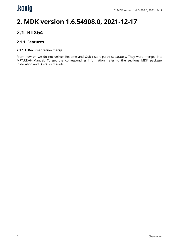# <span id="page-5-0"></span>**2. MDK version 1.6.54908.0, 2021-12-17**

### <span id="page-5-1"></span>**2.1. RTX64**

### **2.1.1. Features**

#### **2.1.1.1. Documentation merge**

From now on we do not deliver Readme and Quick start guide separately. They were merged into MRT.RTX64.Manual. To get the corresponding information, refer to the sections MDK package, Installation and Quick start guide.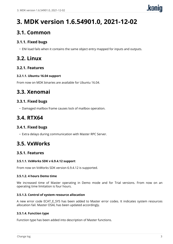# <span id="page-6-0"></span>**3. MDK version 1.6.54901.0, 2021-12-02**

### <span id="page-6-1"></span>**3.1. Common**

### **3.1.1. Fixed bugs**

• ENI load fails when it contains the same object entry mapped for inputs and outputs.

## <span id="page-6-2"></span>**3.2. Linux**

### **3.2.1. Features**

#### **3.2.1.1. Ubuntu 16.04 support**

From now on MDK binaries are available for Ubuntu 16.04.

### <span id="page-6-3"></span>**3.3. Xenomai**

### **3.3.1. Fixed bugs**

• Damaged mailbox frame causes lock of mailbox operation.

## <span id="page-6-4"></span>**3.4. RTX64**

### **3.4.1. Fixed bugs**

• Extra delays during communication with Master RPC Server.

## <span id="page-6-5"></span>**3.5. VxWorks**

### **3.5.1. Features**

#### **3.5.1.1. VxWorks SDK v 6.9.4.12 support**

From now on VxWorks SDK version 6.9.4.12 is supported.

#### **3.5.1.2. 4 hours Demo time**

We increased time of Master operating in Demo mode and for Trial versions. From now on an operating time limitation is four hours.

#### **3.5.1.3. Control of system resource allocation**

A new error code ECAT E SYS has been added to Master error codes. It indicates system resources allocation fail. Master OSAL has been updated accordingly.

#### **3.5.1.4. Function type**

Function type has been added into description of Master functions.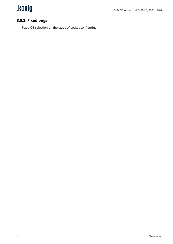

### **3.5.2. Fixed bugs**

• Fixed OS selection on the stage of socket configuring.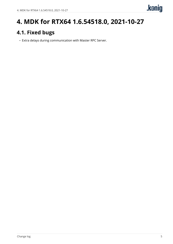# <span id="page-8-0"></span>**4. MDK for RTX64 1.6.54518.0, 2021-10-27**

## <span id="page-8-1"></span>**4.1. Fixed bugs**

• Extra delays during communication with Master RPC Server.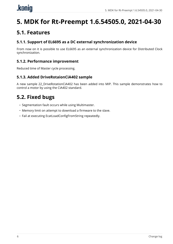# <span id="page-9-0"></span>**5. MDK for Rt-Preempt 1.6.54505.0, 2021-04-30**

### <span id="page-9-1"></span>**5.1. Features**

### **5.1.1. Support of EL6695 as a DC external synchronization device**

From now on it is possible to use EL6695 as an external synchronization device for Distributed Clock synchronization.

### **5.1.2. Performance improvement**

Reduced time of Master cycle processing.

### **5.1.3. Added DriveRotaionCiA402 sample**

<span id="page-9-2"></span>A new sample 22\_DriveRotationCiA402 has been added into MIP. This sample demonstrates how to control a motor by using the CiA402 standard.

- Segmentation fault occurs while using Multimaster.
- Memory limit on attempt to download a firmware to the slave.
- Fail at executing EcatLoadConfigFromString repeatedly.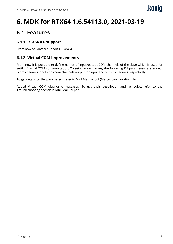# <span id="page-10-0"></span>**6. MDK for RTX64 1.6.54113.0, 2021-03-19**

### <span id="page-10-1"></span>**6.1. Features**

### **6.1.1. RTX64 4.0 support**

From now on Master supports RTX64 4.0.

### **6.1.2. Virtual COM improvements**

From now it is possible to define names of input/output COM channels of the slave which is used for setting Virtual COM communication. To set channel names, the following INI parameters are added: vcom.channels.input and vcom.channels.output for input and output channels respectively.

To get details on the parameters, refer to MRT Manual.pdf (Master configuration file).

Added Virtual COM diagnostic messages. To get their description and remedies, refer to the Troubleshooting section in MRT Manual.pdf.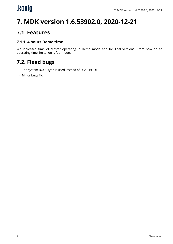# <span id="page-11-0"></span>.konig

# **7. MDK version 1.6.53902.0, 2020-12-21**

## <span id="page-11-1"></span>**7.1. Features**

### **7.1.1. 4 hours Demo time**

<span id="page-11-2"></span>We increased time of Master operating in Demo mode and for Trial versions. From now on an operating time limitation is four hours.

- The system BOOL type is used instead of ECAT\_BOOL.
- Minor bugs fix.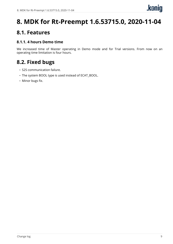# <span id="page-12-0"></span>**8. MDK for Rt-Preempt 1.6.53715.0, 2020-11-04**

### <span id="page-12-1"></span>**8.1. Features**

### **8.1.1. 4 hours Demo time**

<span id="page-12-2"></span>We increased time of Master operating in Demo mode and for Trial versions. From now on an operating time limitation is four hours.

- S2S communication failure.
- The system BOOL type is used instead of ECAT\_BOOL.
- Minor bugs fix.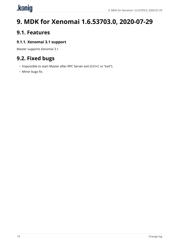# <span id="page-13-0"></span>.konig

# **9. MDK for Xenomai 1.6.53703.0, 2020-07-29**

## <span id="page-13-1"></span>**9.1. Features**

### **9.1.1. Xenomai 3.1 support**

<span id="page-13-2"></span>Master supports Xenomai 3.1.

- Impossible to start Master after RPC Server exit (Ctrl+C or "exit").
- Minor bugs fix.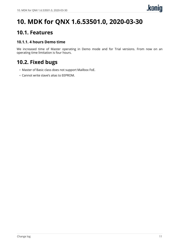# <span id="page-14-0"></span>**10. MDK for QNX 1.6.53501.0, 2020-03-30**

### <span id="page-14-1"></span>**10.1. Features**

### **10.1.1. 4 hours Demo time**

<span id="page-14-2"></span>We increased time of Master operating in Demo mode and for Trial versions. From now on an operating time limitation is four hours.

- Master of Basic class does not support Mailbox FoE.
- Cannot write slave's alias to EEPROM.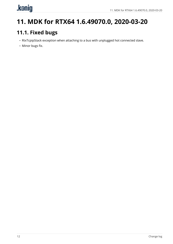# <span id="page-15-0"></span>.kenig

# <span id="page-15-1"></span>**11. MDK for RTX64 1.6.49070.0, 2020-03-20**

- RtxTcpipStack exception when attaching to a bus with unplugged hot connected slave.
- Minor bugs fix.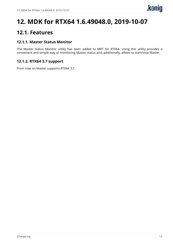# <span id="page-16-0"></span>**12. MDK for RTX64 1.6.49048.0, 2019-10-07**

## <span id="page-16-1"></span>**12.1. Features**

### **12.1.1. Master Status Monitor**

The Master Status Monitor utility has been added to MRT for RTX64. Using this utility provides a convenient and simple way of monitoring Master status and, additionally, allows to start/stop Master.

### **12.1.2. RTX64 3.7 support**

From now on Master supports RTX64 3.7.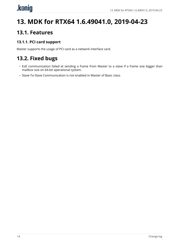# <span id="page-17-0"></span>**13. MDK for RTX64 1.6.49041.0, 2019-04-23**

## <span id="page-17-1"></span>**13.1. Features**

### **13.1.1. PCI card support**

<span id="page-17-2"></span>Master supports the usage of PCI card as a network interface card.

- EoE communication failed at sending a frame from Master to a slave if a frame size bigger than mailbox size on 64-bit operational system.
- Slave-To-Slave Communication is not enabled in Master of Basic class.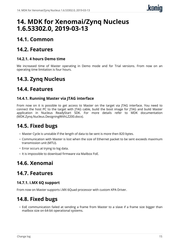## <span id="page-18-0"></span>**14. MDK for Xenomai/Zynq Nucleus 1.6.53302.0, 2019-03-13**

## <span id="page-18-1"></span>**14.1. Common**

### <span id="page-18-2"></span>**14.2. Features**

### **14.2.1. 4 hours Demo time**

We increased time of Master operating in Demo mode and for Trial versions. From now on an operating time limitation is four hours.

### <span id="page-18-3"></span>**14.3. Zynq Nucleus**

### <span id="page-18-4"></span>**14.4. Features**

### **14.4.1. Running Master via JTAG interface**

From now on it is possible to get access to Master on the target via JTAG interface. You need to connect the host PC to the target with JTAG cable, build the boot image for JTAG and build Master application in Nucleus ReadyStart SDK. For more details refer to MDK documentation (MDK.Zynq.Nucleus.DesigningWithLZ200.docx).

## <span id="page-18-5"></span>**14.5. Fixed bugs**

- Master Cycle is unstable if the length of data to be sent is more then 820 bytes.
- Communication with Master is lost when the size of Ethernet packet to be sent exceeds maximum transmission unit (MTU).
- Error occurs at trying to log data.
- It is impossible to download firmware via Mailbox FoE.

## <span id="page-18-6"></span>**14.6. Xenomai**

### <span id="page-18-7"></span>**14.7. Features**

### **14.7.1. i.MX 6Q support**

From now on Master supports i.MX 6Quad processor with custom KPA Driver.

## <span id="page-18-8"></span>**14.8. Fixed bugs**

• EoE communication failed at sending a frame from Master to a slave if a frame size bigger than mailbox size on 64-bit operational systems.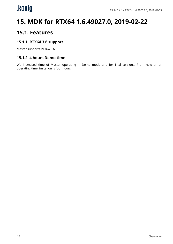# <span id="page-19-0"></span>**15. MDK for RTX64 1.6.49027.0, 2019-02-22**

### <span id="page-19-1"></span>**15.1. Features**

### **15.1.1. RTX64 3.6 support**

Master supports RTX64 3.6.

### **15.1.2. 4 hours Demo time**

We increased time of Master operating in Demo mode and for Trial versions. From now on an operating time limitation is four hours.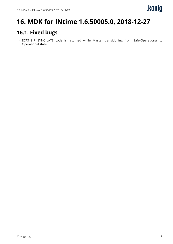# <span id="page-20-0"></span>**16. MDK for INtime 1.6.50005.0, 2018-12-27**

## <span id="page-20-1"></span>**16.1. Fixed bugs**

• ECAT\_S\_PI\_SYNC\_LATE code is returned while Master transitioning from Safe-Operational to Operational state.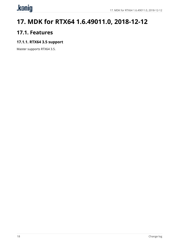# <span id="page-21-0"></span>.konig

# **17. MDK for RTX64 1.6.49011.0, 2018-12-12**

## <span id="page-21-1"></span>**17.1. Features**

### **17.1.1. RTX64 3.5 support**

Master supports RTX64 3.5.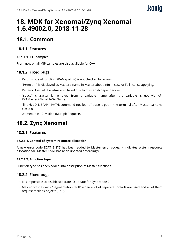# <span id="page-22-0"></span>**18. MDK for Xenomai/Zynq Xenomai 1.6.49002.0, 2018-11-28**

## <span id="page-22-1"></span>**18.1. Common**

### **18.1.1. Features**

### **18.1.1.1. C++ samples**

From now on all MIP samples are also available for C++.

### **18.1.2. Fixed bugs**

- Return code of function KPAMkpaInit() is not checked for errors.
- "Premium" is displayed as Master's name in Master about info in case of Full license applying.
- Dynamic load of libecatmsvr.so failed due to master lib dependencies.
- "space" character is removed from a variable name after the variable is got via API KPAMasterPiVariableGetName.
- "line 6: LD\_LIBRARY\_PATH: command not found" trace is got in the terminal after Master samples starting.
- 0 timeout in 19\_MailboxMultipleRequests.

## <span id="page-22-2"></span>**18.2. Zynq Xenomai**

### **18.2.1. Features**

### **18.2.1.1. Control of system resource allocation**

A new error code ECAT\_E\_SYS has been added to Master error codes. It indicates system resource allocation fail. Master OSAL has been updated accordingly.

### **18.2.1.2. Function type**

Function type has been added into description of Master functions.

- It is impossible to disable separate IO update for Sync Mode 2.
- Master crashes with "Segmentation fault" when a lot of separate threads are used and all of them request mailbox objects (CoE).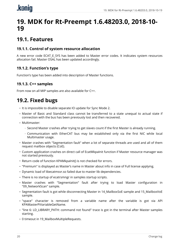# <span id="page-23-0"></span>.koniq

## **19. MDK for Rt-Preempt 1.6.48203.0, 2018-10- 19**

## <span id="page-23-1"></span>**19.1. Features**

### **19.1.1. Control of system resource allocation**

A new error code ECAT E SYS has been added to Master error codes. It indicates system resources allocation fail. Master OSAL has been updated accordingly.

### **19.1.2. Function's type**

Function's type has been added into description of Master functions.

### **19.1.3. C++ samples**

<span id="page-23-2"></span>From now on all MIP samples are also available for C++.

- It is impossible to disable separate IO update for Sync Mode 2.
- Master of Basic and Standard class cannot be transferred to a state unequal to actual state if connection with the bus has been previously lost and then recovered.
- Multimaster:
	- Second Master crashes after trying to get slaves count if the first Master is already running.
	- Communication with EtherCAT bus may be established only via the first NIC while local Multimaster usage.
- Master crashes with "Segmentation fault" when a lot of separate threads are used and all of them request mailbox objects (CoE).
- Custom application crashes on direct call of EcatMkpaInit function if Master resource manager was not started previously.
- Return code of function KPAMkpaInit() is not checked for errors.
- "Premium" is displayed as Master's name in Master about info in case of Full license applying.
- Dynamic load of libecatmsvr.so failed due to master lib dependencies.
- There is no startup of ecatrsmngr in samples startup scripts.
- Master crashes with "Segmentation" fault after trying to load Master configuration in "09\_NetworkScan" sample.
- Segmentation fault is got while disconnecting Master in 14 MailboxSoE sample and 15 MailboxVoE sample.
- "space" character is removed from a variable name after the variable is got via API KPAMasterPiVariableGetName.
- "line 6: LD\_LIBRARY\_PATH: command not found" trace is got in the terminal after Master samples starting.
- 0 timeout in 19\_MailboxMultipleRequests.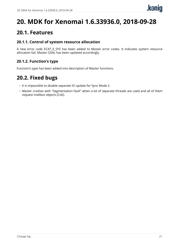# <span id="page-24-0"></span>**20. MDK for Xenomai 1.6.33936.0, 2018-09-28**

## <span id="page-24-1"></span>**20.1. Features**

### **20.1.1. Control of system resource allocation**

A new error code ECAT\_E\_SYS has been added to Master error codes. It indicates system resource allocation fail. Master OSAL has been updated accordingly.

### **20.1.2. Function's type**

<span id="page-24-2"></span>Function's type has been added into description of Master functions.

- It is impossible to disable separate IO update for Sync Mode 2.
- Master crashes with "Segmentation fault" when a lot of separate threads are used and all of them request mailbox objects (CoE).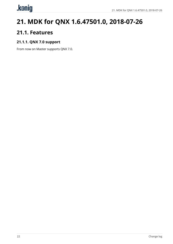# <span id="page-25-0"></span>.kenig

# **21. MDK for QNX 1.6.47501.0, 2018-07-26**

## <span id="page-25-1"></span>**21.1. Features**

### **21.1.1. QNX 7.0 support**

From now on Master supports QNX 7.0.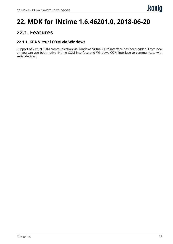# <span id="page-26-0"></span>**22. MDK for INtime 1.6.46201.0, 2018-06-20**

## <span id="page-26-1"></span>**22.1. Features**

### **22.1.1. KPA Virtual COM via Windows**

Support of Virtual COM communication via Windows Virtual COM interface has been added. From now on you can use both native INtime COM interface and Windows COM interface to communicate with serial devices.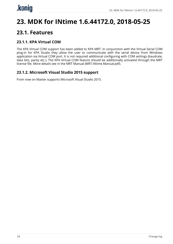# <span id="page-27-0"></span>**23. MDK for INtime 1.6.44172.0, 2018-05-25**

## <span id="page-27-1"></span>**23.1. Features**

### **23.1.1. KPA Virtual COM**

The KPA Virtual COM support has been added to KPA MRT. In conjunction with the Virtual Serial COM plug-in for KPA Studio they allow the user to communicate with the serial device from Windows application via Virtual COM port. It is not required additional configuring with COM settings (baudrate, data bits, parity etc.). The KPA Virtual COM feature should be additionally activated through the MRT license file. More details see in the MRT Manual (MRT.INtime.Manual.pdf).

### **23.1.2. Microsoft Visual Studio 2015 support**

From now on Master supports Microsoft Visual Studio 2015.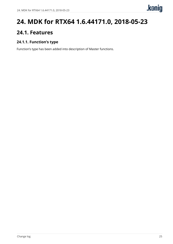# <span id="page-28-0"></span>**24. MDK for RTX64 1.6.44171.0, 2018-05-23**

## <span id="page-28-1"></span>**24.1. Features**

### **24.1.1. Function's type**

Function's type has been added into description of Master functions.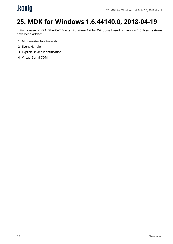# <span id="page-29-0"></span>.konig

# **25. MDK for Windows 1.6.44140.0, 2018-04-19**

Initial release of KPA EtherCAT Master Run-time 1.6 for Windows based on version 1.5. New features have been added:

- 1. Multimaster functionality
- 2. Event Handler
- 3. Explicit Device Identification
- 4. Virtual Serial COM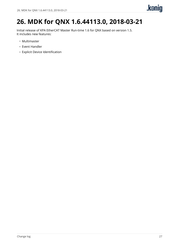# <span id="page-30-0"></span>**26. MDK for QNX 1.6.44113.0, 2018-03-21**

Initial release of KPA EtherCAT Master Run-time 1.6 for QNX based on version 1.5. It includes new features:

- Multimaster
- Event Handler
- Explicit Device Identification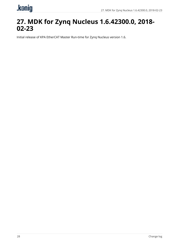# <span id="page-31-0"></span>.konig

## **27. MDK for Zynq Nucleus 1.6.42300.0, 2018- 02-23**

Initial release of KPA EtherCAT Master Run-time for Zynq Nucleus version 1.6.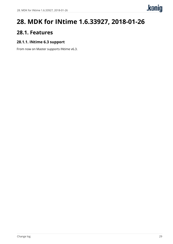# <span id="page-32-0"></span>**28. MDK for INtime 1.6.33927, 2018-01-26**

### <span id="page-32-1"></span>**28.1. Features**

### **28.1.1. INtime 6.3 support**

From now on Master supports INtime v6.3.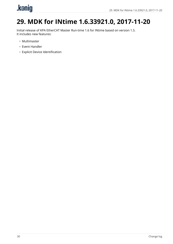# <span id="page-33-0"></span>.konig

# **29. MDK for INtime 1.6.33921.0, 2017-11-20**

Initial release of KPA EtherCAT Master Run-time 1.6 for INtime based on version 1.5. It includes new features:

- Multimaster
- Event Handler
- Explicit Device Identification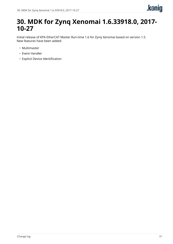## <span id="page-34-0"></span>**30. MDK for Zynq Xenomai 1.6.33918.0, 2017- 10-27**

Initial release of KPA EtherCAT Master Run-time 1.6 for Zynq Xenomai based on version 1.5. New features have been added:

- Multimaster
- Event Handler
- Explicit Device Identification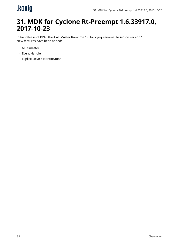# <span id="page-35-0"></span>.konig

## **31. MDK for Cyclone Rt-Preempt 1.6.33917.0, 2017-10-23**

Initial release of KPA EtherCAT Master Run-time 1.6 for Zynq Xenomai based on version 1.5. New features have been added:

- Multimaster
- Event Handler
- Explicit Device Identification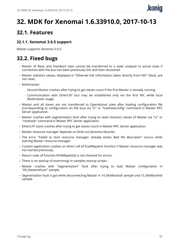# <span id="page-36-0"></span>**32. MDK for Xenomai 1.6.33910.0, 2017-10-13**

### <span id="page-36-1"></span>**32.1. Features**

### **32.1.1. Xenomai 3.0.5 support**

<span id="page-36-2"></span>Master supports Xenomai 3.0.5.

- Master of Basic and Standard class cannot be transferred to a state unequal to actual state if connection with the bus has been previously lost and then recovered.
- Master statistics values, displayed in "Ethernet link information taken directly from NIC" block, are not reset.
- Multimaster:
	- Second Master crashes after trying to get slaves count if the first Master is already running.
	- Communication with EtherCAT bus may be established only via the first NIC while local Multimaster usage.
- Master and all slaves are not transferred to Operational state after loading configuration file (corresponding to configuration on the bus) via "lc" or "loadnewconfig" command in Master RPC Server application.
- Master crashes with segmentation fault after trying to reset statistics values of Master via "rs" or "resetstat" command in Master RPC Server application.
- EtherCAT stack crashes after trying to get slaves count in Master RPC Server application.
- Master resource manager depends on (links to) Xenomai libraries.
- The error "Failed to start resource manager: already exists: Bad file descriptor" occurs while starting Master resource manager.
- Custom application crashes on direct call of EcatMkpaInit function if Master resource manager was not started previously.
- Return code of function KPAMkpaInit() is not checked for errors.
- There is no startup of ecatrsmngr in samples startup scripts.
- Master crashes with "Segmentation" fault after trying to load Master configuration in "09\_NetworkScan" sample.
- Segmentation fault is got while disconnecting Master in 14\_MailboxSoE sample and 15\_MailboxVoE sample.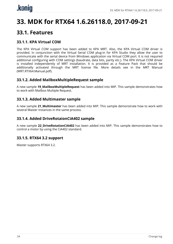## <span id="page-37-0"></span>**33. MDK for RTX64 1.6.26118.0, 2017-09-21**

### <span id="page-37-1"></span>**33.1. Features**

### **33.1.1. KPA Virtual COM**

The KPA Virtual COM support has been added to KPA MRT. Also, the KPA Virtual COM driver is provided. In conjunction with the Virtual Serial COM plug-in for KPA Studio they allow the user to communicate with the serial device from Windows application via Virtual COM port. It is not required additional configuring with COM settings (baudrate, data bits, parity etc.). The KPA Virtual COM driver is installed independently of MRT installation. It is provided as a Feature Pack that should be additionally activated through the MRT license file. More details see in the MRT Manual (MRT.RTX64.Manual.pdf).

### **33.1.2. Added MailboxMultipleRequest sample**

A new sample **19\_MailboxMultipleRequest** has been added into MIP. This sample demonstrates how to work with Mailbox Multiple Request.

### **33.1.3. Added Multimaster sample**

A new sample **21\_Multimaster** has been added into MIP. This sample demonstrate how to work with several Master instances in the same process.

### **33.1.4. Added DriveRotaionCiA402 sample**

A new sample **22\_DriveRotationCiA402** has been added into MIP. This sample demonstrates how to control a motor by using the CiA402 standard.

### **33.1.5. RTX64 3.2 support**

Master supports RTX64 3.2.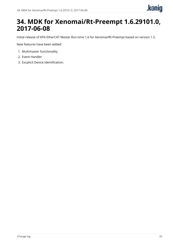## <span id="page-38-0"></span>**34. MDK for Xenomai/Rt-Preempt 1.6.29101.0, 2017-06-08**

Initial release of KPA EtherCAT Master Run-time 1.6 for Xenomai/Rt-Preempt based on version 1.5.

New features have been added:

- 1. Multimaster functionality
- 2. Event Handler
- 3. Excplicit Device Identification.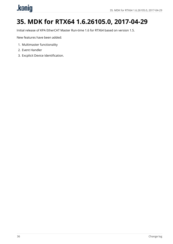# <span id="page-39-0"></span>.kenig

# **35. MDK for RTX64 1.6.26105.0, 2017-04-29**

Initial release of KPA EtherCAT Master Run-time 1.6 for RTX64 based on version 1.5.

New features have been added:

- 1. Multimaster functionality
- 2. Event Handler
- 3. Excplicit Device Identification.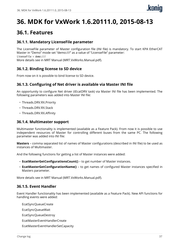# <span id="page-40-0"></span>**36. MDK for VxWork 1.6.20111.0, 2015-08-13**

### <span id="page-40-1"></span>**36.1. Features**

### **36.1.1. Mandatory LicenseFile parameter**

The LicenseFile parameter of Master configuration file (INI file) is mandatory. To start KPA EtherCAT Master in "Demo" mode set "demo:///" as a value of "LicenseFile" parameter: LicenseFile = demo:/// More details see in MRT Manual (MRT.VxWorks.Manual.pdf).

### **36.1.2. Binding license to SD device**

From now on it is possible to bind license to SD device.

### **36.1.3. Configuring of Net driver is available via Master INI file**

An opportunity to configure Net driver (tEcatDRV task) via Master INI file has been implemented. The following parameters was added into Master INI file:

- Threads.DRV.RX.Priority
- Threads.DRV.RX.Stack
- Threads.DRV.RX.Affinity

### **36.1.4. Multimaster support**

Multimaster functionality is implemented (available as a Feature Pack). From now it is possible to use independent resources of Master for controlling different buses from the same PC. The following parameter was added into INI file:

**Masters** – comma separated list of names of Master configurations (described in INI file) to be used as instances of Multimaster.

And the following functions for getting a list of Master instances were added:

- **EcatMasterGetConfigurationsCount()** to get number of Master instances.
- **EcatMasterGetConfigurationName()** to get names of configured Master instances specified in Masters parameter.

More details see in MRT Manual (MRT.VxWorks.Manual.pdf).

### **36.1.5. Event Handler**

Event Handler functionality has been implemented (available as a Feature Pack). New API functions for handling events were added:

EcatSyncQueueCreate

EcatSyncQueueWait

EcatSyncQueueDestroy

EcatMasterEventHandlerCreate

EcatMasterEventHandlerSetCapacity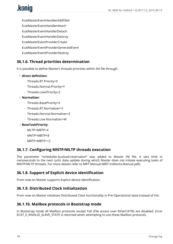# .konig

EcatMasterEventHandlerAddFilter EcatMasterEventHandlerAttach EcatMasterEventHandlerDetach EcatMasterEventHandlerDestroy EcatMasterEventProviderCreate EcatMasterEventProviderGenerateEvent EcatMasterEventProviderDestroy

### **36.1.6. Thread priorities determination**

It is possible to define Master's threads priorities within INI file through:

#### • **direct definition**:

- Threads.RT.Priority=X
- Threads.Normal.Priority=Y
- Threads.Low/Priority=Z
- **Normalizer**:
	- Threads.BasePriority=X
	- Threads.RT.Normalizer=Y
	- Threads.Normal.Normalizer=Z
	- Threads.Low.Normalizer=W

#### • **BaseTaskPriority**:

- MLTP=MBTP+4
- MNTP=MBTP+8
- MRTP=MBTP+12

### **36.1.7. Configuring MNTP/MLTP threads execution**

The parameter "scheduller.busload.reservation" was added to Master INI file. It sets time in nanoseconds to the next cyclic data update during which Master does not initiate executing tasks of MNTP/MLTP threads. For more details refer to MRT Manual (MRT.VxWorks.Manual.pdf).

### **36.1.8. Support of Explicit device identification**

From now on Master supports Explicit device identification.

### **36.1.9. Distributed Clock Initialization**

From now on Master initializes Distributed Clock functionality in Pre-Operational state instead of Init.

#### **36.1.10. Mailbox protocols in Bootstrap mode**

In Bootstrap mode all Mailbox protocols except FoE (File access over EtherCAT®) are disabled. Error ECAT\_E\_INVALID\_SLAVE\_STATE is returned when attempting to use these Mailbox protocols.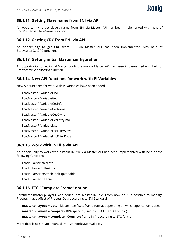### **36.1.11. Getting Slave name from ENI via API**

An opportunity to get slave's name from ENI via Master API has been implemented with help of EcatMasterGetSlaveName function.

### **36.1.12. Getting CRC from ENI via API**

An opportunity to get CRC from ENI via Master API has been implemented with help of EcatMasterGetCRC function.

### **36.1.13. Getting initial Master configuration**

An opportunity to get initial Master configuration via Master API has been implemented with help of EcatMasterGetInitString function.

### **36.1.14. New API functions for work with PI Variables**

New API functions for work with PI Variables have been added:

EcatMasterPiVariableFind

- EcatMasterPiVariableGet
- EcatMasterPiVariableGetInfo
- EcatMasterPiVariableGetName
- EcatMasterPiVariableGetOwner
- EcatMasterPiVariableGetEntryInfo
- EcatMasterPIVariableList
- EcatMasterPIVariableListFilterSlave
- EcatMasterPIVariableListFilterEntry

### **36.1.15. Work with INI file via API**

An opportunity to work with custom INI file via Master API has been implemented with help of the following functions:

EcatIniParserExCreate EcatIniParserExDestroy EcatIniParserExAttachLookUpVariable EcatIniParserExParse

### **36.1.16. ETG "Complete Frame" option**

Parameter master.pi.layout was added into Master INI file. From now on it is possible to manage Process Image offset of Process Data according to ENI Standard:

**master.pi.layout = auto** - Master itself sets frame format depending on which application is used.

**master.pi.layout = compact** - KPA specific (used by KPA EtherCAT Studio).

**master.pi.layout = complete** - Complete frame in PI according to ETG format.

More details see in MRT Manual (MRT.VxWorks.Manual.pdf).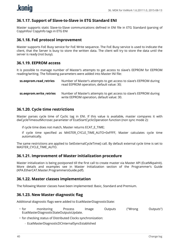### **36.1.17. Support of Slave-to-Slave in ETG Standard ENI**

Master supports static Slave-to-Slave communications defined in ENI file in ETG Standard (parsing of CopyInfos/ CopyInfo tags in ETG ENI

#### **36.1.18. FoE protocol improvement**

Master supports FoE Busy service for FoE Write sequence. The FoE Busy service is used to indicate the client, that the Server is busy to store the written data. The client will try to store the data until the server is ready (not busy).

#### **36.1.19. EEPROM access**

It is possible to manage number of Master's attempts to get access to slave's EEPROM for EEPROM reading/writing. The following parameters were added into Master INI file:

| ss.eeprom.read_retries  | Number of Master's attempts to get access to slave's EEPROM during<br>read EEPROM operation, default value: 30;  |
|-------------------------|------------------------------------------------------------------------------------------------------------------|
| ss.eeprom.write retries | Number of Master's attempts to get access to slave's EEPROM during<br>write EEPROM operation, default value: 30. |

#### **36.1.20. Cycle time restrictions**

Master parses cycle time of Cyclic tag in ENI. If this value is available, master compares it with dwCycleTimeoutMicrosec parameter of EcatStartCyclicOperation function (non sync mode 2):

if cycle time does not match, Master returns ECAT\_E\_TIME;

if cycle time specified as MASTER\_CYCLE\_TIME\_AUTO=0xFFFF, Master calculates cycle time automatically.

The same restrictions are applied to SetExternalCycleTime() call. By default external cycle time is set to MASTER\_CYCLE\_TIME\_AUTO.

#### **36.1.21. Improvement of Master initialization procedure**

Master initialization is being postponed till the first call to create master via Master API (EcatMkpaInit). More details and examples see in Master Initialization section of the Programmer's Guide (KPA.EtherCAT.Master.ProgrammersGuide.pdf).

#### **36.1.22. Master classes implementation**

The following Master classes have been implemented: Basic, Standard and Premium.

### **36.1.23. New Master diagnostic flag**

Additional diagnostic flags were added to EcatMasterDiagnosticState:

- for monitoring Process Image Outputs ("Wrong Outputs") EcatMasterDiagnosticStateOutputsUpdate.
- for checking status of Distributed Clocks synchronization:
	- EcatMasterDiagnosticDCInternalSyncEstablished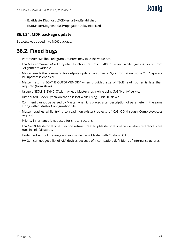- EcatMasterDiagnosticDCExternalSyncEstablished
- EcatMasterDiagnosticDCPropagationDelayInitialized

### **36.1.24. MDK package update**

<span id="page-44-0"></span>EULA.txt was added into MDK package.

- Parameter "Mailbox telegram Counter" may take the value "0".
- EcatMasterPiVariableGetEntryInfo function returns 0x8002 error while getting info from "Alignment" variable.
- Master sends the command for outputs update two times in Synchronization mode 2 if "Separate I/O update" is enabled.
- Master returns ECAT\_E\_OUTOFMEMORY when provided size of "SoE read" buffer is less than required (from slave).
- Usage of ECAT S SYNC CALL may lead Master crash while using SoE "Notify" service.
- Distributed Clocks Synchronization is lost while using 32bit DC slaves.
- Comment cannot be parsed by Master when it is placed after description of parameter in the same string within Master Configuration file.
- Master crashes while trying to read non-existent objects of CoE OD through CompleteAccess request.
- Priority inheritance is not used for critical sections.
- EcatGetDCMasterShiftTime function returns freezed pMasterShiftTime value when reference slave runs in link fail status.
- Undefined symbol message appears while using Master with Custom OSAL.
- HwGen can not get a list of ATA devices because of incompatible definitions of internal structures.